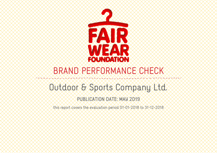

# BRAND PERFORMANCE CHECK

## Outdoor & Sports Company Ltd.

## PUBLICATION DATE: MAY 2019

this report covers the evaluation period 01-01-2018 to 31-12-2018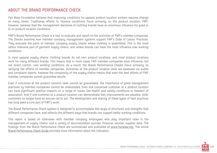#### ABOUT THE BRAND PERFORMANCE CHECK

Fair Wear Foundation believes that improving conditions for apparel product location workers requires change at many levels. Traditional efforts to improve conditions focus primarily on the product location. FWF, however, believes that the management decisions of clothing brands have an enormous influence for good or ill on product location conditions.

FWF's Brand Performance Check is a tool to evaluate and report on the activities of FWF's member companies. The Checks examine how member company management systems support FWF's Code of Labour Practices. They evaluate the parts of member company supply chains where clothing is assembled. This is the most labour intensive part of garment supply chains, and where brands can have the most influence over working conditions.

In most apparel supply chains, clothing brands do not own product locations, and most product locations work for many different brands. This means that in most cases FWF member companies have influence, but not direct control, over working conditions. As a result, the Brand Performance Checks focus primarily on verifying the efforts of member companies. Outcomes at the product location level are assessed via audits and complaint reports, however the complexity of the supply chains means that even the best efforts of FWF member companies cannot guarantee results.

Even if outcomes at the product location level cannot be guaranteed, the importance of good management practices by member companies cannot be understated. Even one concerned customer at a product location can have significant positive impacts on a range of issues like health and safety conditions or freedom of association. And if one customer at a product location can demonstrate that improvements are possible, other customers no longer have an excuse not to act. The development and sharing of these types of best practices has long been a core part of FWF's work.

The Brand Performance Check system is designed to accommodate the range of structures and strengths that different companies have, and reflects the different ways that brands can support better working conditions.

This report is based on interviews with member company employees who play important roles in the management of supply chains, and a variety of documentation sources, financial records, supplier data. The findings from the Brand Performance Check are summarized and published at www.fairwear.org. The online Brand Performance Check Guide provides more information about the indicators.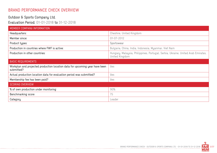### BRAND PERFORMANCE CHECK OVERVIEW

-------------------

#### Outdoor & Sports Company Ltd. Evaluation Period: 01-01-2018 to 31-12-2018

| MEMBER COMPANY INFORMATION                                                                |                                                                                                    |
|-------------------------------------------------------------------------------------------|----------------------------------------------------------------------------------------------------|
| Headquarters:                                                                             | Cheshire, United Kingdom                                                                           |
| Member since:                                                                             | $01 - 07 - 2012$                                                                                   |
| Product types:                                                                            | Sportswear                                                                                         |
| Production in countries where FWF is active:                                              | Bulgaria, China, India, Indonesia, Myanmar, Viet Nam                                               |
| Production in other countries:                                                            | Hungary, Malaysia, Philippines, Portugal, Serbia, Ukraine, United Arab Emirates,<br>United Kingdom |
| <b>BASIC REQUIREMENTS</b>                                                                 |                                                                                                    |
| Workplan and projected production location data for upcoming year have been<br>submitted? | Yes                                                                                                |
| Actual production location data for evaluation period was submitted?                      | Yes                                                                                                |
|                                                                                           |                                                                                                    |
| Membership fee has been paid?                                                             | Yes                                                                                                |
| <b>SCORING OVERVIEW</b>                                                                   |                                                                                                    |
| % of own production under monitoring                                                      | 90%                                                                                                |
| Benchmarking score                                                                        | 75                                                                                                 |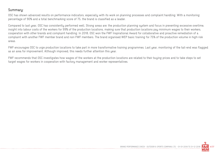#### Summary:

OSC has shown advanced results on performance indicators, especially with its work on planning processes and complaint handling. With a monitoring percentage of 90% and a total benchmarking score of 75, the brand is classified as a leader.

Compared to last year, OSC has consistently performed well. Strong areas are: the production planning system and focus in preventing excessive overtime, insight into labour costs of the workers for 99% of the production locations, making sure that production locations pay minimum wages to their workers, cooperation with other brands and complaint handling. In 2018, OSC won the FWF Inspirational Award for collaborative and proactive remediation of a complaint with another FWF member brand and non-FWF members. The brand organised WEP basic training for 75% of the production volume in high-risk areas.

FWF encourages OSC to urge production locations to take part in more transformative training programmes. Last year, monitoring of the tail-end was flagged as an area for improvement. Although improved, this needs further attention this year.

FWF recommends that OSC investigates how wages of the workers at the production locations are related to their buying prices and to take steps to set target wages for workers in cooperation with factory management and worker representatives.

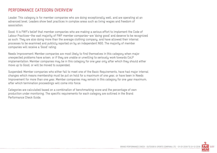#### PERFORMANCE CATEGORY OVERVIEW

Leader: This category is for member companies who are doing exceptionally well, and are operating at an advanced level. Leaders show best practices in complex areas such as living wages and freedom of association.

Good: It is FWF's belief that member companies who are making a serious effort to implement the Code of Labour Practices—the vast majority of FWF member companies—are 'doing good' and deserve to be recognized as such. They are also doing more than the average clothing company, and have allowed their internal processes to be examined and publicly reported on by an independent NGO. The majority of member companies will receive a 'Good' rating.

Needs Improvement: Member companies are most likely to find themselves in this category when major unexpected problems have arisen, or if they are unable or unwilling to seriously work towards CoLP implementation. Member companies may be in this category for one year only after which they should either move up to Good, or will be moved to suspended.

Suspended: Member companies who either fail to meet one of the Basic Requirements, have had major internal changes which means membership must be put on hold for a maximum of one year, or have been in Needs Improvement for more than one year. Member companies may remain in this category for one year maximum, after which termination proceedings will come into force.

Categories are calculated based on a combination of benchmarking score and the percentage of own production under monitoring. The specific requirements for each category are outlined in the Brand Performance Check Guide.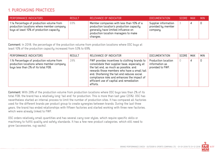## 1. PURCHASING PRACTICES

| PERFORMANCE INDICATORS                                                                                                              | <b>RESULT</b> | RELEVANCE OF INDICATOR                                                                                                                                                           | <b>DOCUMENTATION</b>                                   | SCORE MAX | <b>MIN</b> |
|-------------------------------------------------------------------------------------------------------------------------------------|---------------|----------------------------------------------------------------------------------------------------------------------------------------------------------------------------------|--------------------------------------------------------|-----------|------------|
| 1.1a Percentage of production volume from<br>production locations where member company<br>buys at least 10% of production capacity. | 69%           | Member companies with less than 10% of a<br>production location's production capacity<br>generally have limited influence on<br>production location managers to make<br>changes. | Supplier information<br>provided by member<br>company. |           |            |

Comment: In 2018, the percentage of the production volume from production locations where OSC buys at least 10% of the production capacity increased from 53% to 69%.

| PERFORMANCE INDICATORS                                                                                                        | <b>RESULT</b> | RELEVANCE OF INDICATOR                                                                                                                                                                                                                                                                                                                         | <b>DOCUMENTATION</b>                                      | SCORE | <b>MAX</b> | <b>MIN</b> |
|-------------------------------------------------------------------------------------------------------------------------------|---------------|------------------------------------------------------------------------------------------------------------------------------------------------------------------------------------------------------------------------------------------------------------------------------------------------------------------------------------------------|-----------------------------------------------------------|-------|------------|------------|
| 1.1b Percentage of production volume from<br>production locations where member company<br>buys less than 2% of its total FOB. | 28%           | FWF provides incentives to clothing brands to<br>consolidate their supplier base, especially at<br>the tail end, as much as possible, and<br>rewards those members who have a small tail<br>end. Shortening the tail end reduces social<br>compliance risks and enhances the impact of<br>efficient use of capital and remediation<br>efforts. | Production location<br>information as<br>provided to FWF. |       | 4          |            |

Comment: With 28% of the production volume from production locations where OSC buys less than 2% of its total FOB, the brand has a relatively long 'tail end' for production. This is more than last year (25%). OSC has nevertheless started an internal process to limit the number of production sites. It has compared all factories used for the different brands per product group to create synergies between brands. During the last three years, the brand has ended relationships with fifteen factories and started working with three new factories, which were already linked to FWF.

OSC orders relatively small quantities and has several carry-over styles, which require specific skills or machinery to fulfill quality and safety standards. It has a few new product categories, which still need to grow (accessories, rug sacks).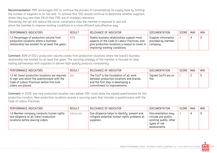Recommendation: FWF encourages OSC to continue the process of consolidating its supply base by limiting the number of suppliers in its 'tail end'. To achieve this, OSC should continue to determine whether suppliers, where they buy less than 2% of their FOB, are of strategic relevance. Shortening the tail will reduce the social compliance risks the member is exposed to and will

allow the member to improve working conditions in a more efficient and effective way.

| PERFORMANCE INDICATORS                                                                                                                 | <b>RESULT</b> | RELEVANCE OF INDICATOR                                                                                                                                                                        | DOCUMENTATION                                          | SCORE | <b>MAX</b> | <b>MIN</b> |
|----------------------------------------------------------------------------------------------------------------------------------------|---------------|-----------------------------------------------------------------------------------------------------------------------------------------------------------------------------------------------|--------------------------------------------------------|-------|------------|------------|
| 1.2 Percentage of production volume from<br>production locations where a business<br>relationship has existed for at least five years. | 80%           | Stable business relationships support most<br>aspects of the Code of Labour Practices, and<br>$^{\circ}$ give production locations a reason to invest in $+$<br>improving working conditions. | Supplier information<br>provided by member<br>company. |       |            |            |

Comment: 80% of OSC's production volume comes from production locations where the brand's business relationship has existed for at least five years. The sourcing strategy of the member is focused on longlasting partnerships with suppliers to deliver high-quality products consistently.

| PERFORMANCE INDICATORS                                                                                                                                               | <b>RESULT</b> | RELEVANCE OF INDICATOR                                                                                                                                  | DOCUMENTATION                | SCORE | <b>MAX</b> | <b>MIN</b> |
|----------------------------------------------------------------------------------------------------------------------------------------------------------------------|---------------|---------------------------------------------------------------------------------------------------------------------------------------------------------|------------------------------|-------|------------|------------|
| 1.3 All (new) production locations are required<br>to sign and return the questionnaire with the<br>Code of Labour Practices before first bulk<br>orders are placed. | Yes           | The CoLP is the foundation of all work<br>between production locations and brands,<br>and the first step in developing a<br>commitment to improvements. | Signed CoLPs are on<br>file. |       |            |            |

Comment: In 2018, one new production location was added. OSC could show the signed questionnaire for this production location. New production locations receive a sourcing pack that includes a questionnaire with the Code of Labour Practices.

| PERFORMANCE INDICATORS                                                                                                | <b>RESULT</b> | RELEVANCE OF INDICATOR                                                                                    | <b>DOCUMENTATION</b>                                                                                | SCORE | MAX | <b>MIN</b> |
|-----------------------------------------------------------------------------------------------------------------------|---------------|-----------------------------------------------------------------------------------------------------------|-----------------------------------------------------------------------------------------------------|-------|-----|------------|
| 1.4 Member company conducts human rights<br>due diligence at all (new) production<br>locations before placing orders. | Advanced      | Due diligence helps to identify, prevent and<br>mitigate potential human rights problems at<br>suppliers. | Documentation may<br>include pre-audits,<br>existing audits, other<br>types of risk<br>assessments. |       |     |            |

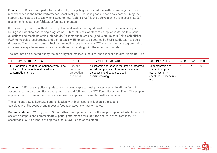Comment: OSC has developed a formal due diligence policy and shared this with top management, as recommended in the Brand Performance Check last year. The policy has a clear flow chart outlining the stages that need to be taken when selecting new factories. CSR is the gatekeeper in this process, all CSR requirements need to be fulfilled before placing orders.

OSC is working directly with all their suppliers and visits a factory at least once before orders are placed. During the sampling and pricing programme, OSC establishes whether the supplier conforms to supplier guidelines and meets its ethical standards. Existing audits are analyzed, a preliminary CAP is established. FWF membership requirements and the factory's willingness to be audited by FWF's audit team are also discussed. The company aims to look for production locations where FWF members are already present to increase leverage to improve working conditions cooperating with the other FWF brands.

The information collected during the due diligence process is input for the supplier appraisal (indicator 1.5).

| PERFORMANCE INDICATORS                                                                                      | <b>RESULT</b>                                   | RELEVANCE OF INDICATOR                                                                                                                    | <b>DOCUMENTATION</b>                                                                        | SCORE | MAX | <b>MIN</b> |
|-------------------------------------------------------------------------------------------------------------|-------------------------------------------------|-------------------------------------------------------------------------------------------------------------------------------------------|---------------------------------------------------------------------------------------------|-------|-----|------------|
| 1.5 Production location compliance with Code<br>of Labour Practices is evaluated in a<br>systematic manner. | Yes, and<br>leads to<br>production<br>decisions | A systemic approach is required to integrate<br>social compliance into normal business<br>processes, and supports good<br>decisionmaking. | Documentation of<br>systemic approach:<br>rating systems,<br>checklists, databases,<br>etc. |       |     |            |

Comment: OSC has a supplier appraisal twice a year: a spreadsheet provides a score to all the factories according to product specifics, quality, logistics and follow-up on FWF Corrective Action Plans. The supplier appraisal leads to production decisions. A positive appraisal is rewarded with extra orders.

The company values two-way communication with their suppliers: it shares the supplier appraisal with the supplier and requests feedback about own performance.

Recommendation: FWF suggests OSC to further develop and visualize the supplier appraisal which makes it easier to compare and communicate supplier performance through time and with other factories. FWF encourages OSC to further develop the supplier evaluation of the brand.

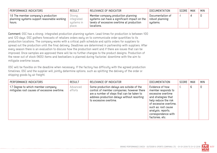| PERFORMANCE INDICATORS                                                                       | <b>RESULT</b>                                 | RELEVANCE OF INDICATOR                                                                                                                         | <b>DOCUMENTATION</b>                            | SCORE | MAX | <b>MIN</b> |
|----------------------------------------------------------------------------------------------|-----------------------------------------------|------------------------------------------------------------------------------------------------------------------------------------------------|-------------------------------------------------|-------|-----|------------|
| 1.6 The member company's production<br>planning systems support reasonable working<br>hours. | Strong,<br>integrated<br>systems in<br>place. | Member company production planning<br>systems can have a significant impact on the<br>levels of excessive overtime at production<br>locations. | Documentation of<br>robust planning<br>systems. |       |     |            |

Comment: OSC has a strong, integrated production planning system. Lead times for production is between 100 and 120 days. OSC gathers forecasts of retailers orders early on to communicate order quantities to its production locations. The company works with a critical path schedule and splits orders for suppliers to spread out the production until the final delivery. Deadlines are determined in partnership with suppliers. After every season there is an evaluation to discuss how the production went and if there are issues that can be improved. Once samples are approved there will be no further changes to the product designs. Production of the never out of stock (NOS) items and bestsellers is planned during factories' downtime with the aim to mitigate overtime issues.

OSC will be flexible on the deadline when necessary. If the factory has difficulty with the agreed production timelines, OSC and the supplier will jointly determine options, such as splitting the delivery of the order or shipping goods by air freight.

| PERFORMANCE INDICATORS                                                             | <b>RESULT</b>       | RELEVANCE OF INDICATOR                                                                                                                                                                                         | <b>DOCUMENTATION</b>                                                                                                                                                                                                        | SCORE | MAX | <b>MIN</b> |
|------------------------------------------------------------------------------------|---------------------|----------------------------------------------------------------------------------------------------------------------------------------------------------------------------------------------------------------|-----------------------------------------------------------------------------------------------------------------------------------------------------------------------------------------------------------------------------|-------|-----|------------|
| 1.7 Degree to which member company<br>mitigates root causes of excessive overtime. | Advanced<br>efforts | Some production delays are outside of the<br>control of member companies; however there<br>are a number of steps that can be taken to<br>address production delays without resorting<br>to excessive overtime. | Evidence of how<br>member responds to<br>excessive overtime<br>and strategies that<br>help reduce the risk<br>of excessive overtime,<br>such as: root cause<br>analysis, reports,<br>correspondence with<br>factories, etc. |       | 6   | 0          |

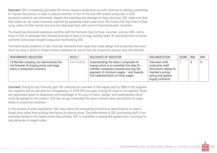Comment: OSC consistently discusses the former season's production run with factories to identify possibilities to improve the process in order to reduce overtime. In four of the nine FWF audits conducted in 2018, excessive overtime was discovered. Despite the relatively low leverage at these factories, OSC made sure that their orders do not cause excessive overtime by spreading orders even more. OSC knows that this time is filled up by orders of other brands and also has discussed that with some of these production locations.

The brand has discussed excessive overtime with the factories face-to-face, via email, and via CAPs, with a focus of OSC to persuade their Chinese factories to have a six-day working week. At new production locations, overtime is discussed straight-away and monitored by OSC.

The brand faced problems of late materials deliveries from Japan and made design and production decisions (such as using a stock of certain colours materials) to assure that the production process was not affected.

| PERFORMANCE INDICATORS                                                                                               | <b>RESULT</b> | RELEVANCE OF INDICATOR                                                                                                                                                                                          | <b>DOCUMENTATION</b>                                                                                                        | SCORE | MAX | <b>MIN</b> |
|----------------------------------------------------------------------------------------------------------------------|---------------|-----------------------------------------------------------------------------------------------------------------------------------------------------------------------------------------------------------------|-----------------------------------------------------------------------------------------------------------------------------|-------|-----|------------|
| 1.8 Member company can demonstrate the<br>link between its buying prices and wage<br>levels in production locations. | Intermediate  | Understanding the labour component of<br>buying prices is an essential first step for<br>member companies towards ensuring the<br>payment of minimum wages - and towards<br>the implementation of living wages. | Interviews with<br>production staff,<br>documents related to<br>member's pricing<br>policy and system,<br>buying contracts. |       |     |            |

Comment: During its last financial year OSC collected an overview of the wages paid for 99% of the suppliers, two suppliers did not yet give full transparency. In 2018 OSC has open costing for most of its suppliers. Prices are negotiated based on experience and knowledge of the price of fabric, design, and workmanship which could be needed for the product. OCS has not yet connected the labour minute value calculations to wage levels at production locations.

In this process of price negotiation, OSC may reduce the complexity of technical specifications to meet a target price rather than pushing the factory to reduce prices. The performance of OSC purchasing staff is not evaluated based on the target prices they achieve. OSC is consistent in paying the agreed price, including for late deliveries or repeat orders.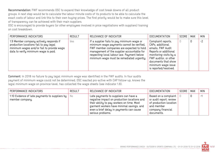Recommendation: FWF recommends OSC to expand their knowledge of cost break downs of all product groups. A next step would be to calculate the labour minute costs of its products to be able to calculate the exact costs of labour and link this to their own buying prices. The first priority would be to make sure this level of transparency can be achieved with their main suppliers.

OSC is encouraged to provide buyers (or other employees involved in price negotiations with suppliers) training on cost breakdown.

| PERFORMANCE INDICATORS                                                                                                                                                 | <b>RESULT</b> | RELEVANCE OF INDICATOR                                                                                                                                                                                                                                                        | <b>DOCUMENTATION</b>                                                                                                                                                                                          | SCORE | MAX | <b>MIN</b> |
|------------------------------------------------------------------------------------------------------------------------------------------------------------------------|---------------|-------------------------------------------------------------------------------------------------------------------------------------------------------------------------------------------------------------------------------------------------------------------------------|---------------------------------------------------------------------------------------------------------------------------------------------------------------------------------------------------------------|-------|-----|------------|
| 1.9 Member company actively responds if<br>production locations fail to pay legal<br>minimum wages and/or fail to provide wage<br>data to verify minimum wage is paid. | Yes           | If a supplier fails to pay minimum wage or<br>minimum wage payments cannot be verified,<br>FWF member companies are expected to hold<br>management of the supplier accountable for<br>respecting local labour law. Payment below<br>minimum wage must be remediated urgently. | Complaint reports,<br>CAPs, additional<br>emails, FWF Audit<br>Reports or additional<br>monitoring visits by a<br>FWF auditor, or other<br>documents that show<br>minimum wage issue<br>is reported/resolved. |       | 0   | $-2$       |

Comment: In 2018 no failure to pay legal minimum wage was identified in the FWF audits. In four audits payment of minimum wage could not be determined. OSC reacted pro-active with CAP follow-up, knows the legal minimum wage on province-level, has collected the wage sheets (see indicator 1.8).

| PERFORMANCE INDICATORS                                              | <b>RESULT</b> | RELEVANCE OF INDICATOR                                                                                                                                                                                                                           | DOCUMENTATION                                                                                                                | SCORE | MAX | <b>MIN</b> |
|---------------------------------------------------------------------|---------------|--------------------------------------------------------------------------------------------------------------------------------------------------------------------------------------------------------------------------------------------------|------------------------------------------------------------------------------------------------------------------------------|-------|-----|------------|
| 1.10 Evidence of late payments to suppliers by  <br>member company. | No            | Late payments to suppliers can have a<br>negative impact on production locations and<br>their ability to pay workers on time. Most<br>garment workers have minimal savings, and<br>even a brief delay in payments can cause<br>serious problems. | Based on a complaint  <br>or audit report; review<br>of production location<br>and member<br>company financial<br>documents. |       |     | $\sim$     |

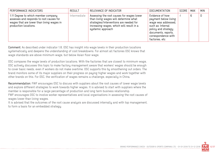| PERFORMANCE INDICATORS                                                                                                                                | <b>RESULT</b> | RELEVANCE OF INDICATOR                                                                                                                                                                         | <b>DOCUMENTATION</b>                                                                                                                                                       | SCORE | MAX | <b>MIN</b> |
|-------------------------------------------------------------------------------------------------------------------------------------------------------|---------------|------------------------------------------------------------------------------------------------------------------------------------------------------------------------------------------------|----------------------------------------------------------------------------------------------------------------------------------------------------------------------------|-------|-----|------------|
| 1.11 Degree to which member company<br>assesses and responds to root causes for<br>wages that are lower than living wages in<br>production locations. | Intermediate  | Assessing the root causes for wages lower<br>than living wages will determine what<br>strategies/interventions are needed for<br>increasing wages, which will result in a<br>systemic approach | Evidence of how<br>payment below living<br>wage was addressed,<br>such as: Internal<br>policy and strategy<br>documents, reports,<br>correspondence with<br>factories, etc |       | 6   | 0          |

Comment: As described under indicator 1.8, OSC has insight into wage levels in their production locations systematically and deepens the understanding of cost breakdowns. For almost all factories OSC knows that wage standards are above minimum wage, but below Asian floor wage.

OSC compares the wage levels of production locations. With the factories that are closest to minimum wage, OSC actively discusses this topic to make factory management aware that workers' wages should be enough to cover basic needs, even if workers do not make overtime. OSC supports this by smoothening out orders. The brand monitors some of its major suppliers on their progress on paying higher wages and work together with other brands on this. For OSC, the verification of wages remains a challenge, especially in China.

Recommendation: FWF encourages OSC to discuss with suppliers about the root causes of lower wage levels and explore different strategies to work towards higher wages. It is advised to start with suppliers where the member is responsible for a large percentage of production and long term business relationship.

FWF encourages OSC to involve worker representatives and local organisations in assessing the root causes of wages lower than living wages.

It is advised that the outcomes of the root cause analysis are discussed internally and with top management, to form a basis for an embedded strategy.

BRAND PERFORMANCE CHECK - OUTDOOR & SPORTS COMPANY LTD.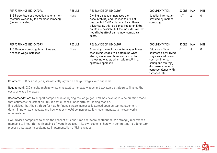| PERFORMANCE INDICATORS                                                                                   | <b>RESULT</b> | RELEVANCE OF INDICATOR                                                                                                                                                                                                                                                     | <b>DOCUMENTATION</b>                                   | SCORE | MAX | <b>MIN</b> |
|----------------------------------------------------------------------------------------------------------|---------------|----------------------------------------------------------------------------------------------------------------------------------------------------------------------------------------------------------------------------------------------------------------------------|--------------------------------------------------------|-------|-----|------------|
| 1.12 Percentage of production volume from<br>factories owned by the member company<br>(bonus indicator). | None          | Owning a supplier increases the<br>accountability and reduces the risk of<br>unexpected CoLP violations. Given these<br>advantages, this is a bonus indicator. Extra<br>points are possible, but the indicator will not<br>negatively affect an member company's<br>score. | Supplier information<br>provided by member<br>company. | N/A   |     | 0          |

| PERFORMANCE INDICATORS                                        | <b>RESULT</b> | RELEVANCE OF INDICATOR                                                                                                                                                                          | <b>DOCUMENTATION</b>                                                                                                                                                        | SCORE | MAX | <b>MIN</b> |
|---------------------------------------------------------------|---------------|-------------------------------------------------------------------------------------------------------------------------------------------------------------------------------------------------|-----------------------------------------------------------------------------------------------------------------------------------------------------------------------------|-------|-----|------------|
| 1.13 Member company determines and<br>finances wage increases | None          | Assessing the root causes for wages lower<br>than living wages will determine what<br>strategies/interventions are needed for<br>increasing wages, which will result in a<br>systemic approach. | Evidence of how<br>payment below living<br>wage was addressed,<br>such as: internal<br>policy and strategy<br>documents, reports,<br>correspondence with<br>factories, etc. | 0     | 4   | 0          |

Comment: OSC has not yet systematically agreed on target wages with suppliers.

Requirement: OSC should analyze what is needed to increase wages and develop a strategy to finance the costs of wage increases.

Recommendation: To support companies in analyzing the wage gap, FWF has developed a calculation model that estimates the effect on FOB and retail prices under different pricing models. It is advised that the strategy for how to finance wage increases is agreed upon by top management. In determining what is needed and how wages should be increased, it is recommended to involve worker representation.

FWF advises companies to avoid the concept of a one-time charitable contribution. We strongly recommend members to integrate the financing of wage increases in its own systems, herewith committing to a long term process that leads to sustainable implementation of living wages.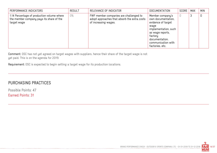| PERFORMANCE INDICATORS                                                                                | <b>RESULT</b> | RELEVANCE OF INDICATOR                                                                                         | <b>DOCUMENTATION</b>                                                                                                                                                                   | SCORE | <b>MAX</b> | <b>MIN</b>  |
|-------------------------------------------------------------------------------------------------------|---------------|----------------------------------------------------------------------------------------------------------------|----------------------------------------------------------------------------------------------------------------------------------------------------------------------------------------|-------|------------|-------------|
| 1.14 Percentage of production volume where<br>the member company pays its share of the<br>target wage | 0%            | FWF member companies are challenged to<br>adopt approaches that absorb the extra costs<br>of increasing wages. | Member company's<br>own documentation,<br>evidence of target<br>waqe<br>implementation, such<br>as wage reports,<br>factory<br>documentation,<br>communication with<br>factories, etc. |       | 3          | $\mathbf 0$ |

Comment: OSC has not yet agreed on target wages with suppliers, hence their share of the target wage is not yet paid. This is on the agenda for 2019.

Requirement: OSC is expected to begin setting a target wage for its production locations.

#### PURCHASING PRACTICES

Possible Points: 47 Earned Points: 31

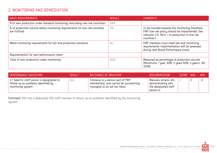## 2. MONITORING AND REMEDIATION

| <b>BASIC MEASUREMENTS</b>                                                                    | <b>RESULT</b> | <b>COMMENTS</b>                                                                                                                                                       |
|----------------------------------------------------------------------------------------------|---------------|-----------------------------------------------------------------------------------------------------------------------------------------------------------------------|
| % of own production under standard monitoring (excluding low-risk countries)                 | 88%           |                                                                                                                                                                       |
| % of production volume where monitoring requirements for low-risk countries<br>are fulfilled | 2%            | To be counted towards the monitoring threshold,<br>FWF low-risk policy should be implemented. See<br>indicator 2.9. $(N/A = no$ production in low risk<br>countries.) |
| Meets monitoring requirements for tail-end production locations.                             | No            | FWF members must meet tail-end monitoring<br>requirements. Implementation will be assessed<br>during next Brand Performance check.                                    |
| Requirement(s) for next performance check                                                    |               |                                                                                                                                                                       |
| Total of own production under monitoring                                                     | 90%           | Measured as percentage of production volume<br>(Minimums: 1 year: 40%; 2 years 60%; 3 years+: 80-<br>100%)                                                            |

| <b>PERFORMANCE INDICATORS</b>                                                                          | <b>RESULT</b> | RELEVANCE OF INDICATOR                                                                                     | <b>DOCUMENTATION</b>                                                                | SCORE MAX | <b>MIN</b> |
|--------------------------------------------------------------------------------------------------------|---------------|------------------------------------------------------------------------------------------------------------|-------------------------------------------------------------------------------------|-----------|------------|
| 2.1 Specific staff person is designated to<br>follow up on problems identified by<br>monitoring system | yes           | Followup is a serious part of FWF<br>membership, and cannot be successfully<br>managed on an ad-hoc basis. | Manuals, emails, etc.,<br>demonstrating who<br>the designated staff `<br>person is. |           | $-2$       |

Comment: OSC has a dedicated CSR staff member to follow up on problems identified by the monitoring system.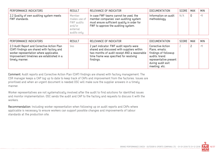| PERFORMANCE INDICATORS                                     | <b>RESULT</b>                                                             | RELEVANCE OF INDICATOR                                                                                                                                               | <b>DOCUMENTATION</b>                 | SCORE | MAX | <b>MIN</b> |
|------------------------------------------------------------|---------------------------------------------------------------------------|----------------------------------------------------------------------------------------------------------------------------------------------------------------------|--------------------------------------|-------|-----|------------|
| 2.2 Quality of own auditing system meets<br>FWF standards. | Member<br>makes use of<br>FWF audits<br>and/or<br>external<br>audits only | In case FWF teams cannot be used, the<br>member companies' own auditing system<br>must ensure sufficient quality in order for<br>FWF to approve the auditing system. | Information on audit<br>methodology. | N/A   | 0   | $-1$       |

| PERFORMANCE INDICATORS                                                                                                                                                                               | <b>RESULT</b> | RELEVANCE OF INDICATOR                                                                                                                                                                        | DOCUMENTATION                                                                                                                                | SCORE | MAX | <b>MIN</b> |
|------------------------------------------------------------------------------------------------------------------------------------------------------------------------------------------------------|---------------|-----------------------------------------------------------------------------------------------------------------------------------------------------------------------------------------------|----------------------------------------------------------------------------------------------------------------------------------------------|-------|-----|------------|
| 2.3 Audit Report and Corrective Action Plan<br>(CAP) findings are shared with factory and<br>worker representation where applicable.<br>Improvement timelines are established in a<br>timely manner. | Yes           | 2 part indicator: FWF audit reports were<br>shared and discussed with suppliers within<br>two months of audit receipt AND a reasonable<br>time frame was specified for resolving<br>findings. | Corrective Action<br>Plans, emails;<br>findings of followup<br>audits; brand<br>representative present<br>during audit exit<br>meeting, etc. |       |     | $-1$       |

Comment: Audit reports and Corrective Action Plan (CAP) findings are shared with factory management. The CSR manager keeps a CAP log up to date to keep track of CAPs and improvement from the factories. Issues are prioritised and when an urgent document is needed OSC will make sure the supplier answers in a timely manner.

Worker representatives are not systematically involved after the audit to find solutions for identified issues and monitor implementation. OSC sends the audit and CAP to the factory and requests to discuss it with the workers.

Recommendation: Including worker representation when following up on audit reports and CAPs where applicable is necessary to ensure workers can support possible changes and improvements of labour standards at the production site.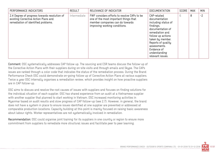| PERFORMANCE INDICATORS                                                                                                      | <b>RESULT</b> | RELEVANCE OF INDICATOR                                                                                                                                   | <b>DOCUMENTATION</b>                                                                                                                                                                                                                       | <b>SCORE</b> | <b>MAX</b> | <b>MIN</b> |
|-----------------------------------------------------------------------------------------------------------------------------|---------------|----------------------------------------------------------------------------------------------------------------------------------------------------------|--------------------------------------------------------------------------------------------------------------------------------------------------------------------------------------------------------------------------------------------|--------------|------------|------------|
| 2.4 Degree of progress towards resolution of<br>existing Corrective Action Plans and<br>remediation of identified problems. | Intermediate  | FWF considers efforts to resolve CAPs to be<br>one of the most important things that<br>member companies can do towards<br>improving working conditions. | CAP-related<br>documentation<br>including status of<br>findings,<br>documentation of<br>remediation and<br>follow up actions<br>taken by member.<br>Reports of quality<br>assessments.<br>Evidence of<br>understanding<br>relevant issues. | b            | 8          | $-2$       |

Comment: OSC systematically addresses CAP follow up. The sourcing and CSR teams discuss the follow-up of the Corrective Action Plans with their suppliers during on-site visits and through emails and Skype. The CAPs issues are ranked through a color code that indicates the status of the remediation process. During the Brand Performance Check OSC could demonstrate on-going follow up of Corrective Action Plans at various suppliers. Twice a year OSC internally organises a remediation review, which provides insight on how proactive suppliers are in CAP follow-up.

OSC aims to discuss and resolve the root causes of issues with suppliers and focuses on finding solutions for the individual situation of each supplier. OSC has shared experience from an audit at a Vietnamese supplier with another supplier that planned to start working in Vietnam. OSC increased monitoring activities in Myanmar based on audit results and slow progress of CAP follow-up (see 2.7). However, in general, the brand does not have a system in place to ensure issues identified at one supplier are prevented or addressed at comparable production locations. Capacity building at this point is mainly focused on raising basic awareness about labour rights. Worker representatives are not systematically involved in remediation.

Recommendation: OSC could organise joint training for its suppliers in one country or region to ensure more commitment from suppliers to remediate more structural issues and facilitate peer to peer learning.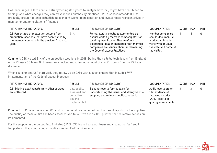FWF encourages OSC to continue strengthening its system to analyze how they might have contributed to findings and what changes they can make in their purchasing practices. FWF also recommends OSC to gradually ensure factories establish independent worker representation and involve these representatives in monitoring and remediation of findings.

| PERFORMANCE INDICATORS                                                                                                                              | <b>RESULT</b> | RELEVANCE OF INDICATOR                                                                                                                                                                                                                                | DOCUMENTATION                                                                                                                  | SCORE   MAX | <b>MIN</b> |
|-----------------------------------------------------------------------------------------------------------------------------------------------------|---------------|-------------------------------------------------------------------------------------------------------------------------------------------------------------------------------------------------------------------------------------------------------|--------------------------------------------------------------------------------------------------------------------------------|-------------|------------|
| 2.5 Percentage of production volume from<br>production locations that have been visited by<br>the member company in the previous financial<br>year. | 91%           | Formal audits should be augmented by<br>annual visits by member company staff or<br>local representatives. They reinforce to<br>production location managers that member<br>companies are serious about implementing<br>the Code of Labour Practices. | Member companies<br>should document all<br>production location<br>visits with at least<br>the date and name of<br>the visitor. |             |            |

Comment: OSC visited 91% of the production locations in 2018. During the visits by technicians from England or the Chinese QC team, OHS issues are checked and a limited amount of specific items from the CAP are discussed.

When sourcing and CSR staff visit, they follow up on CAPs with a questionnaire that includes FWF implementation of the Code of Labour Practices.

| PERFORMANCE INDICATORS                                          | <b>RESULT</b>                                                        | RELEVANCE OF INDICATOR                                                                                                      | <b>DOCUMENTATION</b>                                                                                       | SCORE | <b>MAX</b> | <b>MIN</b> |
|-----------------------------------------------------------------|----------------------------------------------------------------------|-----------------------------------------------------------------------------------------------------------------------------|------------------------------------------------------------------------------------------------------------|-------|------------|------------|
| 2.6 Existing audit reports from other sources<br>are collected. | Yes, quality<br>assessed and<br>corrective<br>actions<br>implemented | Existing reports form a basis for<br>understanding the issues and strengths of a<br>supplier, and reduces duplicative work. | Audit reports are on<br>file; evidence of<br>followup on prior<br>CAPs. Reports of<br>quality assessments. |       |            | 0          |

Comment: OSC mainly relies on FWF audits. The brand has collected non-FWF audit reports for five suppliers. The quality of these audits has been assessed and for all five audits, OSC proofed that corrective actions are implemented.

For the supplier in the United Arab Emirates (UAE), OSC trained an audit team and shared the FWF audit template, so they could conduct audits meeting FWF requirements.

BRAND PERFORMANCE CHECK - OUTDOOR & SPORTS COMPANY LTD. - 01-01-2018 TO 31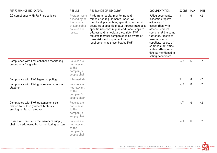| PERFORMANCE INDICATORS                                                                                     | <b>RESULT</b>                                                                           | RELEVANCE OF INDICATOR                                                                                                                                                                                                                                                                                                                                                                      | <b>DOCUMENTATION</b>                                                                                                                                                                                                                                                                  | <b>SCORE</b> | <b>MAX</b> | <b>MIN</b> |
|------------------------------------------------------------------------------------------------------------|-----------------------------------------------------------------------------------------|---------------------------------------------------------------------------------------------------------------------------------------------------------------------------------------------------------------------------------------------------------------------------------------------------------------------------------------------------------------------------------------------|---------------------------------------------------------------------------------------------------------------------------------------------------------------------------------------------------------------------------------------------------------------------------------------|--------------|------------|------------|
| 2.7 Compliance with FWF risk policies.                                                                     | Average score<br>depending on<br>the number<br>of applicable<br>policies and<br>results | Aside from regular monitoring and<br>remediation requirements under FWF<br>membership, countries, specific areas within<br>countries or specific product groups may pose<br>specific risks that require additional steps to<br>address and remediate those risks. FWF<br>requires member companies to be aware of<br>those risks and implement policy<br>requirements as prescribed by FWF. | Policy documents,<br>inspection reports,<br>evidence of<br>cooperation with<br>other customers<br>sourcing at the same<br>factories, reports of<br>meetings with<br>suppliers, reports of<br>additional activities<br>and/or attendance<br>lists as mentioned in<br>policy documents. | 3            | 6          | $-2$       |
| Compliance with FWF enhanced monitoring<br>programme Bangladesh                                            | Policies are<br>not relevant<br>to the<br>company's<br>supply chain                     |                                                                                                                                                                                                                                                                                                                                                                                             |                                                                                                                                                                                                                                                                                       | N/A          | 6          | $-2$       |
| Compliance with FWF Myanmar policy                                                                         | Intermediate                                                                            |                                                                                                                                                                                                                                                                                                                                                                                             |                                                                                                                                                                                                                                                                                       | 3            | 6          | $-2$       |
| Compliance with FWF guidance on abrasive<br>blasting                                                       | Policies are<br>not relevant<br>to the<br>company's<br>supply chain                     |                                                                                                                                                                                                                                                                                                                                                                                             |                                                                                                                                                                                                                                                                                       | N/A          | 6          | $-2$       |
| Compliance with FWF guidance on risks<br>related to Turkish garment factories<br>employing Syrian refugees | Policies are<br>not relevant<br>to the<br>company's<br>supply chain                     |                                                                                                                                                                                                                                                                                                                                                                                             |                                                                                                                                                                                                                                                                                       | N/A          | 6          | $-2$       |
| Other risks specific to the member's supply<br>chain are addressed by its monitoring system                | Policies are<br>not relevant<br>to the<br>company's<br>supply chain                     |                                                                                                                                                                                                                                                                                                                                                                                             |                                                                                                                                                                                                                                                                                       | N/A          | 6          | $-2$       |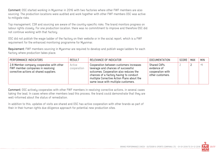Comment: OSC started working in Myanmar in 2016 with two factories where other FWF members are also sourcing. The production locations were audited and work together with other FWF members OSC was active to mitigate risks.

Top management, CSR and sourcing are aware of the country-specific risks. The brand monitors progress on labour rights closely. For one production location, there was no commitment to improve and therefore OSC did not continue working with that factory.

OSC did not publish the wage ladder of the factory on their website or in the social report, which is a FWF requirement for the enhanced monitoring programme for Myanmar.

Requirement: FWF members sourcing in Myanmar are required to develop and publish wage ladders for each factory where production takes place.

| PERFORMANCE INDICATORS                                                                                                   | <b>RESULT</b>         | RELEVANCE OF INDICATOR                                                                                                                                                                                                                                 | DOCUMENTATION                                                       | SCORE | MAX | <b>MIN</b>   |
|--------------------------------------------------------------------------------------------------------------------------|-----------------------|--------------------------------------------------------------------------------------------------------------------------------------------------------------------------------------------------------------------------------------------------------|---------------------------------------------------------------------|-------|-----|--------------|
| 2.8 Member company cooperates with other<br>FWF member companies in resolving<br>corrective actions at shared suppliers. | Active<br>cooperation | Cooperation between customers increases<br>leverage and chances of successful<br>outcomes. Cooperation also reduces the<br>chances of a factory having to conduct<br>multiple Corrective Action Plans about the<br>same issue with multiple customers. | Shared CAPs,<br>evidence of<br>cooperation with<br>other customers. |       |     | <u>. так</u> |

Comment: OSC actively cooperates with other FWF members in resolving corrective actions, in several cases taking the lead. In cases where other members lead this process, the brand could demonstrate that they are well-informed about the status of remediation.

In addition to this, updates of visits are shared and OSC has active cooperation with other brands as part of their in their human rights due diligence approach for potential new production sites.

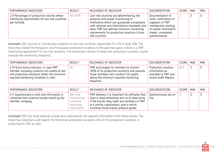| PERFORMANCE INDICATORS                                                                                        | <b>RESULT</b> | RELEVANCE OF INDICATOR                                                                                                                                                                                                                                                                         | <b>DOCUMENTATION</b>                                                                                                                                    | SCORE   MAX | <b>MIN</b> |
|---------------------------------------------------------------------------------------------------------------|---------------|------------------------------------------------------------------------------------------------------------------------------------------------------------------------------------------------------------------------------------------------------------------------------------------------|---------------------------------------------------------------------------------------------------------------------------------------------------------|-------------|------------|
| 2.9 Percentage of production volume where<br>monitoring requirements for low-risk countries<br>are fulfilled. | 50-100%       | Low-risk countries are determined by the<br>presence and proper functioning of<br>institutions which can guarantee compliance<br>with national and international standards and<br>laws. FWF has defined minimum monitoring<br>requirements for production locations in low-<br>risk countries. | Documentation of<br>visits, notification of<br>suppliers of FWF<br>membership; posting<br>of worker information<br>sheets, completed<br>questionnaires. |             | 0          |

Comment: OSC sources in 3 production locations in low-risk countries, responsible for 5 % of total FOB. The brand has visited the Hungarian and Portuguese production locations in the past two years, which is a FWF monitoring requirement for low-risk locations. The production volume of these two production locations counts towards the monitoring threshold.

| PERFORMANCE INDICATORS                                                                                                                                                          | <b>RESULT</b> | RELEVANCE OF INDICATOR                                                                                                                                                                | DOCUMENTATION                                                                         | SCORE | MAX | <b>MIN</b> |
|---------------------------------------------------------------------------------------------------------------------------------------------------------------------------------|---------------|---------------------------------------------------------------------------------------------------------------------------------------------------------------------------------------|---------------------------------------------------------------------------------------|-------|-----|------------|
| 2.10 Extra bonus indicator: in case FWF<br>member company conducts full audits at tail-<br>end production locations (when the minimum<br>required monitoring threshold is met). | No            | FWF encourages its members to monitor<br>100% of its production locations and rewards<br>those members who conduct full audits<br>above the minimum required monitoring<br>threshold. | Production location<br>information as<br>provided to FWF and<br>recent Audit Reports. | N/A   |     |            |

| PERFORMANCE INDICATORS                                                                                           | <b>RESULT</b>                                                   | RELEVANCE OF INDICATOR                                                                                                                                                                                                                           | DOCUMENTATION                  | SCORE | <b>MAX</b> | <b>MIN</b> |
|------------------------------------------------------------------------------------------------------------------|-----------------------------------------------------------------|--------------------------------------------------------------------------------------------------------------------------------------------------------------------------------------------------------------------------------------------------|--------------------------------|-------|------------|------------|
| 2.11 Questionnaire is sent and information is<br>collected from external brands resold by the<br>member company. | Yes, and<br>member has<br>collected<br>necessary<br>information | FWF believes it is important for affiliates that<br>have a retail/wholesale arm to at least know<br>$\parallel$ if the brands they resell are members of FWF<br>or a similar organisation, and in which<br>countries those brands produce goods. | Questionnaires are on<br>file. |       |            | 0          |

Comment: OSC has three external brands and collected all the required information from these brands. The brand has collected audit reports for the known production locations. One of the production locations is producing for OSC as well.

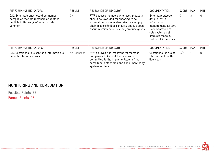| PERFORMANCE INDICATORS                                                                                                                 | <b>RESULT</b> | RELEVANCE OF INDICATOR                                                                                                                                                                                                             | <b>DOCUMENTATION</b>                                                                                                                                         | SCORE | MAX | <b>MIN</b> |
|----------------------------------------------------------------------------------------------------------------------------------------|---------------|------------------------------------------------------------------------------------------------------------------------------------------------------------------------------------------------------------------------------------|--------------------------------------------------------------------------------------------------------------------------------------------------------------|-------|-----|------------|
| 2.12 External brands resold by member<br>companies that are members of another<br>credible initiative (% of external sales<br>volume). | 0%            | FWF believes members who resell products<br>should be rewarded for choosing to sell<br>external brands who also take their supply<br>chain responsibilities seriously and are open<br>about in which countries they produce goods. | External production<br>data in FWF's<br>information<br>management system.<br>Documentation of<br>sales volumes of<br>products made by<br>FWF or FLA members. |       |     | 0          |

| PERFORMANCE INDICATORS                                                     | RESULT       | RELEVANCE OF INDICATOR                                                                                                                                                                      | DOCUMENTATION                                               | SCORE | MAX | <b>MIN</b> |
|----------------------------------------------------------------------------|--------------|---------------------------------------------------------------------------------------------------------------------------------------------------------------------------------------------|-------------------------------------------------------------|-------|-----|------------|
| 2.13 Questionnaire is sent and information is<br>collected from licensees. | No licensees | FWF believes it is important for member<br>companies to know if the licensee is<br>committed to the implementation of the<br>same labour standards and has a monitoring<br>system in place. | Questionnaires are on<br>file. Contracts with<br>licensees. | N/A   |     |            |

## MONITORING AND REMEDIATION

-------------------------

Possible Points: 35

Earned Points: 26

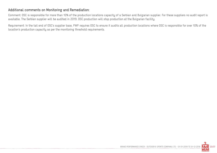#### Additional comments on Monitoring and Remediation:

Comment: OSC is responsible for more than 10% of the production locations capacity of a Serbian and Bulgarian supplier. For these suppliers no audit report is available. The Serbian supplier will be audited in 2019. OSC production will stop production at the Bulgarian facility.

Requirement: In the tail end of OSC's supplier base, FWF requires OSC to ensure it audits all production locations where OSC is responsible for over 10% of the location's production capacity as per the monitoring threshold requirements.



BRAND PERFORMANCE CHECK - OUTDOOR & SPORTS COMPANY LTD. - 01-01-2018 TO 31-12-2018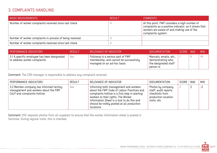## 3. COMPLAINTS HANDLING

| <b>BASIC MEASUREMENTS</b>                                | RESULT | <b>COMMENTS</b>                                                                                                                                                                          |
|----------------------------------------------------------|--------|------------------------------------------------------------------------------------------------------------------------------------------------------------------------------------------|
| Number of worker complaints received since last check    |        | At this point, FWF considers a high number of<br>$\overline{a}$ complaints as a positive indicator, as it shows that<br>workers are aware of and making use of the<br>complaints system. |
| Number of worker complaints in process of being resolved |        |                                                                                                                                                                                          |
| Number of worker complaints resolved since last check    |        |                                                                                                                                                                                          |

| PERFORMANCE INDICATORS                                                      | <b>RESULT</b> | RELEVANCE OF INDICATOR                                                                                     | DOCUMENTATION                                                                     | SCORE MAX | <b>MIN</b> |
|-----------------------------------------------------------------------------|---------------|------------------------------------------------------------------------------------------------------------|-----------------------------------------------------------------------------------|-----------|------------|
| 3.1 A specific employee has been designated<br>to address worker complaints | Yes           | Followup is a serious part of FWF<br>membership, and cannot be successfully<br>managed on an ad-hoc basis. | Manuals, emails, etc.,<br>demonstrating who<br>the designated staff<br>person is. |           | $-$        |

Comment: The CSR manager is responsible to address any complaint received.

| PERFORMANCE INDICATORS                                                                                          | <b>RESULT</b> | RELEVANCE OF INDICATOR                                                                                                                                                                                                                                                                 | <b>DOCUMENTATION</b>                                                                                 | SCORE | MAX | <b>MIN</b> |
|-----------------------------------------------------------------------------------------------------------------|---------------|----------------------------------------------------------------------------------------------------------------------------------------------------------------------------------------------------------------------------------------------------------------------------------------|------------------------------------------------------------------------------------------------------|-------|-----|------------|
| 3.2 Member company has informed factory<br>management and workers about the FWF<br>CoLP and complaints hotline. | Yes           | Informing both management and workers<br>about the FWF Code of Labour Practices and<br>complaints hotline is a first step in alerting<br>workers to their rights. The Worker<br>Information Sheet is a tool to do this and<br>should be visibly posted at all production<br>locations. | Photos by company<br>staff, audit reports,<br>checklists from<br>production location<br>visits, etc. |       |     | $-2$       |

Comment: OSC requests photos from all suppliers to ensure that the worker information sheet is posted in factories. During regular visits, this is checked.

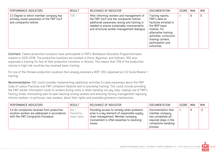| PERFORMANCE INDICATORS                                                                                         | <b>RESULT</b> | RELEVANCE OF INDICATOR                                                                                                                                                                                                           | <b>DOCUMENTATION</b>                                                                                                                                                                                  | SCORE | <b>MAX</b> | <b>MIN</b> |
|----------------------------------------------------------------------------------------------------------------|---------------|----------------------------------------------------------------------------------------------------------------------------------------------------------------------------------------------------------------------------------|-------------------------------------------------------------------------------------------------------------------------------------------------------------------------------------------------------|-------|------------|------------|
| 3.3 Degree to which member company has<br>actively raised awareness of the FWF CoLP<br>and complaints hotline. | 75%           | After informing workers and management of<br>the FWF CoLP and the complaints hotline,<br>additional awareness raising and training is<br>needed to ensure sustainable improvements<br>and structural worker-management dialogue. | Training reports,<br>FWF's data on<br>factories enrolled in<br>the WEP basic<br>module. For<br>alternative training<br>activities: curriculum,<br>training content,<br>participation and<br>outcomes. | 6     | 6          | 0          |

Comment: Twelve production locations have participated in FWF's Workplace Education Programme basic module in 2016-2018. The production locations are located in China, Myanmar, and Vietnam. OSC also organised a training for two of their production locations in Ukraine. This means that 75% of the production volume in high-risk countries has received basic training.

For one of the Chinese production locations that already received a WEP, OSC organised an ILO Score Module 1 training.

Recommendation: OSC could consider implementing additional activities to raise awareness about the FWF Code of Labour Practices and FWF complaint helpline next to providing training. This could include providing the FWF worker information cards to workers during visits or when handing out pay slips, making use of FWF's Factory Guide, stimulating peer-to-peer learning among workers and ensuring factory management regularly informs workers, in particular, new workers, about their rights and available grievance mechanisms.

| PERFORMANCE INDICATORS                                                                                                           | <b>RESULT</b>                      | RELEVANCE OF INDICATOR                                                                                                                                                                 | <b>DOCUMENTATION</b>                                                                                                  | SCORE | <b>MAX</b> | <b>MIN</b> |
|----------------------------------------------------------------------------------------------------------------------------------|------------------------------------|----------------------------------------------------------------------------------------------------------------------------------------------------------------------------------------|-----------------------------------------------------------------------------------------------------------------------|-------|------------|------------|
| 3.4 All complaints received from production<br>location workers are addressed in accordance<br>with the FWF Complaints Procedure | Yes +<br>Preventive<br>steps taken | Providing access to remedy when problems<br>arise is a key element of responsible supply<br>chain management. Member company<br>involvement is often essential to resolving<br>ISSUES. | Documentation that<br>member company<br>has completed all<br>required steps in the<br>complaints handling<br>process. |       | 6          | $-2$       |

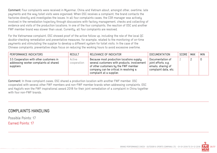Comment: Four complaints were received in Myanmar, China and Vietnam about, amongst other, overtime, late payments and the way toilet visits were organised. When OSC receives a complaint, the brand contacts the factories directly and investigates the issues. In all four complaints cases, the CSR manager was actively involved in the remediation trajectory through discussions with factory management, checks and collecting of evidence and visits of the production locations. In one of the four complaints, the reaction of OSC and another FWF member brand was slower than usual. Currently, all four complaints are resolved.

For the Vietnamese complaint, OSC showed proof of the active follow up, including the role of the local QC double-checking remediation and preventative measures, for example, related to the monitoring of on-time payments and stimulating the supplier to develop a different system for toilet visits. In the case of the Chinese complaints, preventative steps focus on reducing the working hours to avoid excessive overtime.

| PERFORMANCE INDICATORS                                                                         | <b>RESULT</b>         | RELEVANCE OF INDICATOR                                                                                                                                                                                 | DOCUMENTATION                                                                         | SCORE   MAX |          | <b>MIN</b> |
|------------------------------------------------------------------------------------------------|-----------------------|--------------------------------------------------------------------------------------------------------------------------------------------------------------------------------------------------------|---------------------------------------------------------------------------------------|-------------|----------|------------|
| 3.5 Cooperation with other customers in<br>addressing worker complaints at shared<br>suppliers | Active<br>cooperation | Because most production locations supply<br>several customers with products, involvement<br>of other customers by the FWF member<br>company can be critical in resolving a<br>complaint at a supplier. | Documentation of<br>joint efforts, e.g.<br>emails, sharing of<br>complaint data, etc. |             | <u>_</u> |            |

Comment: In three complaint cases, OSC shared a production location with another FWF member. OSC cooperated with several other FWF members and non-FWF member brands when addressing complaints. OSC and Haglofs won the FWF inspirational award 2018 for their joint remediation of a complaint in China together with four non-FWF brands.

#### COMPLAINTS HANDLING

Possible Points: 17

Earned Points: 17

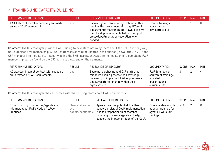## 4. TRAINING AND CAPACITY BUILDING

| <b>PERFORMANCE INDICATORS</b>                                        | <b>RESULT</b> | RELEVANCE OF INDICATOR                                                                                                                                                                                                                | DOCUMENTATION                                            | SCORE MAX | <b>MIN</b> |
|----------------------------------------------------------------------|---------------|---------------------------------------------------------------------------------------------------------------------------------------------------------------------------------------------------------------------------------------|----------------------------------------------------------|-----------|------------|
| 4.1 All staff at member company are made<br>aware of FWF membership. | Yes           | Preventing and remediating problems often<br>requires the involvement of many different<br>departments; making all staff aware of FWF<br>membership requirements helps to support<br>cross-departmental collaboration when<br>needed. | Emails, trainings,<br>presentation,<br>newsletters, etc. |           | 0          |

Comment: The CSR manager provides FWF training to new staff informing them about the CoLP and they way OSC organises FWF membership. All OSC staff receives regular updates in the quarterly newsletter. In 2018 the CSR manager informed all staff about winning the FWF Inspiration Award for remediation of a complaint. FWF membership can be found on the OSC business cards and on the garments.

| PERFORMANCE INDICATORS                                                              | <b>RESULT</b> | RELEVANCE OF INDICATOR                                                                                                                                                               | <b>DOCUMENTATION</b>                                                                             | SCORE | <b>MAX</b> | <b>MIN</b> |
|-------------------------------------------------------------------------------------|---------------|--------------------------------------------------------------------------------------------------------------------------------------------------------------------------------------|--------------------------------------------------------------------------------------------------|-------|------------|------------|
| 4.2 All staff in direct contact with suppliers<br>are informed of FWF requirements. | Yes           | Sourcing, purchasing and CSR staff at a<br>minimum should possess the knowledge<br>necessary to implement FWF requirements<br>and advocate for change within their<br>organisations. | <b>FWF Seminars or</b><br>equivalent trainings<br>provided;<br>presentations,<br>curricula, etc. |       |            | $-$        |

Comment: The CSR manager shares updates with the sourcing team about FWF requirements.

| PERFORMANCE INDICATORS                                                                       | <b>RESULT</b>                 | RELEVANCE OF INDICATOR                                                                                                                                                                                                    | <b>DOCUMENTATION</b>                                                           | SCORE | MAX | <b>MIN</b> |
|----------------------------------------------------------------------------------------------|-------------------------------|---------------------------------------------------------------------------------------------------------------------------------------------------------------------------------------------------------------------------|--------------------------------------------------------------------------------|-------|-----|------------|
| 4.3 All sourcing contractors/agents are<br>informed about FWF's Code of Labour<br>Practices. | Member does not<br><b>USE</b> | Agents have the potential to either<br>support or disrupt CoLP implementation.<br>agents/contractors   It is the responsibility of member<br>company to ensure agents actively<br>support the implementation of the CoLP. | Correspondence with<br>agents, trainings for<br>agents, FWF audit<br>findings. | N/A   |     |            |

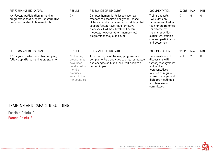| PERFORMANCE INDICATORS                                                                                                | <b>RESULT</b> | RELEVANCE OF INDICATOR                                                                                                                                                                                                                                                               | <b>DOCUMENTATION</b>                                                                                                                                                                              | SCORE | MAX | <b>MIN</b> |
|-----------------------------------------------------------------------------------------------------------------------|---------------|--------------------------------------------------------------------------------------------------------------------------------------------------------------------------------------------------------------------------------------------------------------------------------------|---------------------------------------------------------------------------------------------------------------------------------------------------------------------------------------------------|-------|-----|------------|
| 4.4 Factory participation in training<br>programmes that support transformative<br>processes related to human rights. | $0\%$         | Complex human rights issues such as<br>freedom of association or gender-based<br>violence require more in-depth trainings that<br>support factory-level transformative<br>processes. FWF has developed several<br>modules, however, other (member-led)<br>programmes may also count. | Training reports,<br>FWF's data on<br>factories enrolled in<br>training programmes.<br>For alternative<br>training activities:<br>curriculum, training<br>content, participation<br>and outcomes. |       | 6   |            |

| PERFORMANCE INDICATORS                                                       | <b>RESULT</b>                                                                                                    | RELEVANCE OF INDICATOR                                                                                                                                   | <b>DOCUMENTATION</b>                                                                                                                                                                              | SCORE | <b>MAX</b>     | <b>MIN</b>  |
|------------------------------------------------------------------------------|------------------------------------------------------------------------------------------------------------------|----------------------------------------------------------------------------------------------------------------------------------------------------------|---------------------------------------------------------------------------------------------------------------------------------------------------------------------------------------------------|-------|----------------|-------------|
| 4.5 Degree to which member company<br>follows up after a training programme. | No training<br>programmes<br>have been<br>conducted or<br>member<br>produces<br>solely in low-<br>risk countries | After factory-level training programmes,<br>complementary activities such as remediation<br>and changes on brand level will achieve a<br>lasting impact. | Documentation of<br>discussions with<br>factory management<br>and worker<br>representatives,<br>minutes of regular<br>worker-management<br>dialogue meetings or<br>anti-harassment<br>committees. | N/A   | $\overline{2}$ | $\mathbf 0$ |

## TRAINING AND CAPACITY BUILDING

Possible Points: 9 Earned Points: 3

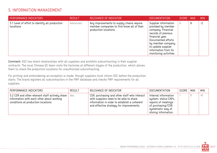## 5. INFORMATION MANAGEMENT

| <b>PERFORMANCE INDICATORS</b>                               | <b>RESULT</b> | RELEVANCE OF INDICATOR                                                                                            | DOCUMENTATION                                                                                                                                                                                                                 | SCORE MAX |   | <b>MIN</b> |
|-------------------------------------------------------------|---------------|-------------------------------------------------------------------------------------------------------------------|-------------------------------------------------------------------------------------------------------------------------------------------------------------------------------------------------------------------------------|-----------|---|------------|
| 5.1 Level of effort to identify all production<br>locations | Advanced      | Any improvements to supply chains require<br>member companies to first know all of their<br>production locations. | Supplier information<br>provided by member<br>company. Financial<br>records of previous<br>financial year.<br>Documented efforts<br>by member company<br>to update supplier<br>information from its<br>monitoring activities. | 6         | 6 | $-2$       |

Comment: OSC has direct relationships with all suppliers and prohibits subcontracting in their supplier contracts. The local Chinese QC team visits the factories at different stages of the production, which allows them to check the production locations for unauthorized subcontracting.

For printing and embroidering an exception is made, though suppliers must inform OSC before the production starts. The brand registers all subcontractors in the FWF database and checks FWF requirements for all suppliers.

| PERFORMANCE INDICATORS                                                                                                              | <b>RESULT</b> | RELEVANCE OF INDICATOR                                                                                                                                                              | DOCUMENTATION                                                                                                                          | SCORE | MAX | <b>MIN</b> |
|-------------------------------------------------------------------------------------------------------------------------------------|---------------|-------------------------------------------------------------------------------------------------------------------------------------------------------------------------------------|----------------------------------------------------------------------------------------------------------------------------------------|-------|-----|------------|
| 5.2 CSR and other relevant staff actively share<br>information with each other about working<br>conditions at production locations. | Yes           | CSR, purchasing and other staff who interact<br>with suppliers need to be able to share<br>information in order to establish a coherent<br>and effective strategy for improvements. | Internal information<br>system; status CAPs,<br>reports of meetings<br>of purchasing/CSR;<br>systematic way of<br>storing information. |       |     | . — 1      |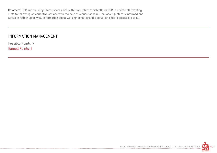Comment: CSR and sourcing teams share a list with travel plans which allows CSR to update all traveling staff to follow up on corrective actions with the help of a questionnaire. The local QC staff is informed and active in follow up as well. Information about working conditions at production sites is accessible to all.

#### INFORMATION MANAGEMENT

Possible Points: 7 Earned Points: 7

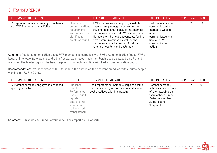## 6. TRANSPARENCY

| PERFORMANCE INDICATORS                                                     | <b>RESULT</b>                                                                                | RELEVANCE OF INDICATOR                                                                                                                                                                                                                                                                                                                 | <b>DOCUMENTATION</b>                                                                                                                  | SCORE | MAX | <b>MIN</b> |
|----------------------------------------------------------------------------|----------------------------------------------------------------------------------------------|----------------------------------------------------------------------------------------------------------------------------------------------------------------------------------------------------------------------------------------------------------------------------------------------------------------------------------------|---------------------------------------------------------------------------------------------------------------------------------------|-------|-----|------------|
| 6.1 Degree of member company compliance<br>with FWF Communications Policy. | Minimum<br>communications<br>requirements<br>are met AND no<br>significant<br>problems found | FWF's communications policy exists to<br>ensure transparency for consumers and<br>stakeholders, and to ensure that member<br>communications about FWF are accurate.<br>Members will be held accountable for their<br>own communications as well as the<br>communications behaviour of 3rd-party<br>retailers, resellers and customers. | FWF membership is<br>communicated on<br>member's website;<br>other<br>communications in<br>line with FWF<br>communications<br>policy. |       |     | $-3$       |

Comment: Public communication about FWF membership complies with FWF's Communication Policy. FWF's Logo, link to www.fairwear.org and a brief explanation about their membership are displayed on all brand websites. The leader logo on the hang-tags of its products is in line with FWF's communication policy.

Recommendation: FWF recommends OSC to update the quotes on the different brand websites (quote people working for FWF in 2019).

| PERFORMANCE INDICATORS                                         | <b>RESULT</b>                                                                                                                   | RELEVANCE OF INDICATOR                                                                                                      | <b>DOCUMENTATION</b>                                                                                                                             | SCORE | <b>MAX</b> | <b>MIN</b> |
|----------------------------------------------------------------|---------------------------------------------------------------------------------------------------------------------------------|-----------------------------------------------------------------------------------------------------------------------------|--------------------------------------------------------------------------------------------------------------------------------------------------|-------|------------|------------|
| 6.2 Member company engages in advanced<br>reporting activities | Published<br>Brand<br>Performance<br>Checks, audit<br>reports,<br>and/or other<br>efforts lead<br>to increased<br>transparency. | Good reporting by members helps to ensure<br>the transparency of FWF's work and shares<br>best practices with the industry. | Member company<br>publishes one or more<br>of the following on<br>their website: Brand<br>Performance Check,<br>Audit Reports,<br>Supplier List. |       |            | 0          |

Comment: OSC shares its Brand Performance Check report on its website.

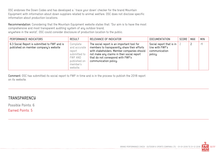OSC endorses the Down Codes and has developed a ' trace your down' checker for the brand Mountain Equipment with information about down suppliers related to animal welfare. OSC does not disclose specific information about production locations.

Recommendation: Considering that the Mountain Equipment website states that: "Our aim is to have the most comprehensive and most transparent auditing system of any outdoor brand, anywhere in the world", OSC could consider disclosure of production location to the public.

| PERFORMANCE INDICATORS                                                                | <b>RESULT</b>                                                                                         | RELEVANCE OF INDICATOR                                                                                                                                                                                                                               | <b>DOCUMENTATION</b>                                                    | SCORE | MAX | <b>MIN</b> |
|---------------------------------------------------------------------------------------|-------------------------------------------------------------------------------------------------------|------------------------------------------------------------------------------------------------------------------------------------------------------------------------------------------------------------------------------------------------------|-------------------------------------------------------------------------|-------|-----|------------|
| 6.3 Social Report is submitted to FWF and is<br>published on member company's website | Complete<br>and accurate<br>report<br>submitted to<br>FWF AND<br>published on<br>member's<br>website. | The social report is an important tool for<br>members to transparently share their efforts<br>with stakeholders. Member companies should<br>not make any claims in their social report<br>that do not correspond with FWF's<br>communication policy. | Social report that is in<br>line with FWF's<br>communication<br>policy. |       |     | -1         |

Comment: OSC has submitted its social report to FWF in time and is in the process to publish the 2018 report on its website.

#### **TRANSPARENCY**

Possible Points: 6

Earned Points: 5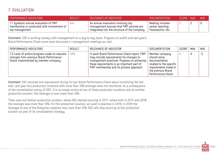## 7. EVALUATION

| PERFORMANCE INDICATORS                                                                                 | <b>RESULT</b> | RELEVANCE OF INDICATOR                                                                                                          | DOCUMENTATION                                              | SCORE MAX | MIN. |
|--------------------------------------------------------------------------------------------------------|---------------|---------------------------------------------------------------------------------------------------------------------------------|------------------------------------------------------------|-----------|------|
| 7.1 Systemic annual evaluation of FWF<br>membership is conducted with involvement of<br>top management | yes           | An annual evaluation involving top<br>management ensures that FWF policies are<br>integrated into the structure of the company. | Meeting minutes,<br>verbal reporting,<br>Powerpoints, etc. |           |      |

Comment: CSR is working closely with management on a day to day basis. Progress on audits and last year's Brand Performance Check score were discussed in management meetings as well.

| PERFORMANCE INDICATORS                                                                                                           | <b>RESULT</b> | RELEVANCE OF INDICATOR                                                                                                                                                                                                          | <b>DOCUMENTATION</b>                                                                                                                          | SCORE | MAX | <b>MIN</b> |
|----------------------------------------------------------------------------------------------------------------------------------|---------------|---------------------------------------------------------------------------------------------------------------------------------------------------------------------------------------------------------------------------------|-----------------------------------------------------------------------------------------------------------------------------------------------|-------|-----|------------|
| 7.2 Level of action/progress made on required<br>changes from previous Brand Performance<br>Check implemented by member company. | 50%           | In each Brand Performance Check report, FWF<br>may include requirements for changes to<br>management practices. Progress on achieving<br>these requirements is an important part of<br>FWF membership and its process approach. | Member company<br>should show<br>documentation<br>related to the specific<br>requirements made in<br>the previous Brand<br>Performance Check. |       | 4   | $-2$       |

Comment: OSC received one requirement during its last Brand Performance Check about monitoring the tail end. Last year four production locations with more than 10% leverage were not monitored. As a consequence of the consolidation policy of OSC, it is no longer active at two of these production locations and at another production location, the leverage is now lower than 10%.

There was one Serbian production location, where OSC started sourcing in 2017, where both in 2017 and 2018, the leverage was more than 10%. For this production location, an audit is planned in 2019. In 2018 the leverage at one of the Bulgarian suppliers was more than 10%. OSC will stop sourcing at this production location as part of its consolidation strategy.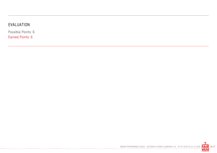## EVALUATION

. . . . . . . . . . . . . .

Possible Points: 6 Earned Points: 6

BRAND PERFORMANCE CHECK - OUTDOOR & SPORTS COMPANY LTD. - 01-01-2018 TO 31-12-2018 34/37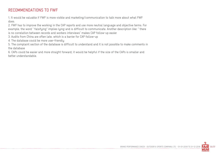## RECOMMENDATIONS TO FWF

1. It would be valuable if FWF is more visible and marketing/communication to talk more about what FWF does.

2. FWF has to improve the working in the CAP reports and use more neutral language and objective terms. For example, the word " falsifying" implies lying and is difficult to communicate. Another description like: " there is no correlation between records and workers interviews" makes CAP follow-up easier

3. Audits from China are often late, which is a barrier for CAP follow-up

4. The database could be more user-friendly

5. The complaint section of the database is difficult to understand and it is not possible to make comments in the database

6. CAPs could be easier and more straight forward; it would be helpful if the size of the CAPs is smaller and better understandable.

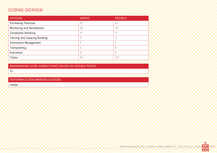## SCORING OVERVIEW

| <b>CATEGORY</b>                | <b>EARNED</b> | <b>POSSIBLE</b> |
|--------------------------------|---------------|-----------------|
| <b>Purchasing Practices</b>    | 31            | 47              |
| Monitoring and Remediation     | 26            | 35              |
| <b>Complaints Handling</b>     | 17            | 17              |
| Training and Capacity Building | 3             | 9               |
| Information Management         |               |                 |
| Transparency                   | 5             | 6               |
| Evaluation                     | 6             | 6               |
| Totals:                        | 95            | 127             |
|                                |               |                 |

BENCHMARKING SCORE (EARNED POINTS DIVIDED BY POSSIBLE POINTS)

75

PERFORMANCE BENCHMARKING CATEGORY

Leader